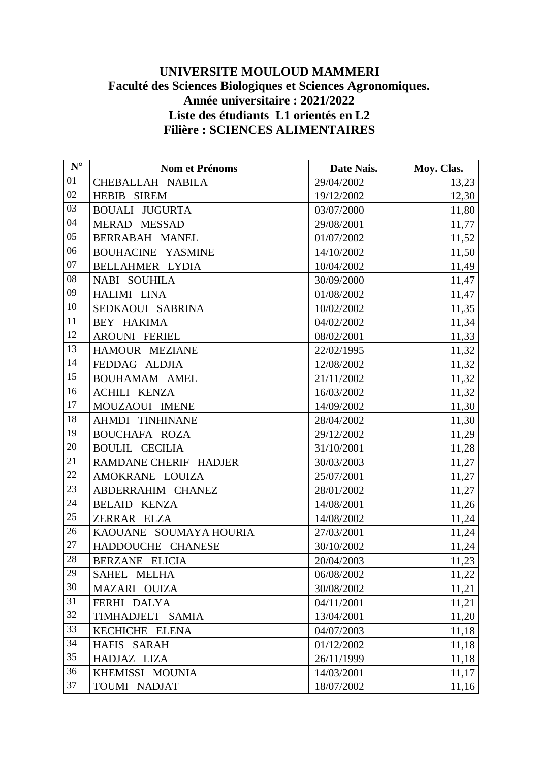## **UNIVERSITE MOULOUD MAMMERI Faculté des Sciences Biologiques et Sciences Agronomiques. Année universitaire : 2021/2022 Liste des étudiants L1 orientés en L2 Filière : SCIENCES ALIMENTAIRES**

| $N^{\circ}$     | Nom et Prénoms           | Date Nais. | Moy. Clas. |
|-----------------|--------------------------|------------|------------|
| 01              | CHEBALLAH NABILA         | 29/04/2002 | 13,23      |
| 02              | <b>HEBIB SIREM</b>       | 19/12/2002 | 12,30      |
| 03              | <b>BOUALI JUGURTA</b>    | 03/07/2000 | 11,80      |
| 04              | MERAD MESSAD             | 29/08/2001 | 11,77      |
| 05              | BERRABAH MANEL           | 01/07/2002 | 11,52      |
| 06              | <b>BOUHACINE YASMINE</b> | 14/10/2002 | 11,50      |
| 07              | BELLAHMER LYDIA          | 10/04/2002 | 11,49      |
| 08              | NABI SOUHILA             | 30/09/2000 | 11,47      |
| 09              | HALIMI LINA              | 01/08/2002 | 11,47      |
| 10              | SEDKAOUI SABRINA         | 10/02/2002 | 11,35      |
| 11              | BEY HAKIMA               | 04/02/2002 | 11,34      |
| 12              | <b>AROUNI FERIEL</b>     | 08/02/2001 | 11,33      |
| 13              | HAMOUR MEZIANE           | 22/02/1995 | 11,32      |
| 14              | FEDDAG ALDJIA            | 12/08/2002 | 11,32      |
| 15              | <b>BOUHAMAM AMEL</b>     | 21/11/2002 | 11,32      |
| 16              | <b>ACHILI KENZA</b>      | 16/03/2002 | 11,32      |
| 17              | MOUZAOUI IMENE           | 14/09/2002 | 11,30      |
| 18              | <b>AHMDI TINHINANE</b>   | 28/04/2002 | 11,30      |
| 19              | <b>BOUCHAFA ROZA</b>     | 29/12/2002 | 11,29      |
| 20              | <b>BOULIL CECILIA</b>    | 31/10/2001 | 11,28      |
| 21              | RAMDANE CHERIF HADJER    | 30/03/2003 | 11,27      |
| 22              | AMOKRANE LOUIZA          | 25/07/2001 | 11,27      |
| $\overline{23}$ | ABDERRAHIM CHANEZ        | 28/01/2002 | 11,27      |
| 24              | <b>BELAID KENZA</b>      | 14/08/2001 | 11,26      |
| 25              | ZERRAR ELZA              | 14/08/2002 | 11,24      |
| 26              | KAOUANE SOUMAYA HOURIA   | 27/03/2001 | 11,24      |
| 27              | HADDOUCHE CHANESE        | 30/10/2002 | 11,24      |
| 28              | BERZANE ELICIA           | 20/04/2003 | 11,23      |
| 29              | SAHEL MELHA              | 06/08/2002 | 11,22      |
| 30              | MAZARI OUIZA             | 30/08/2002 | 11,21      |
| 31              | FERHI DALYA              | 04/11/2001 | 11,21      |
| 32              | TIMHADJELT SAMIA         | 13/04/2001 | 11,20      |
| 33              | KECHICHE ELENA           | 04/07/2003 | 11,18      |
| 34              | HAFIS SARAH              | 01/12/2002 | 11,18      |
| 35              | HADJAZ LIZA              | 26/11/1999 | 11,18      |
| 36              | KHEMISSI MOUNIA          | 14/03/2001 | 11,17      |
| 37              | TOUMI NADJAT             | 18/07/2002 | 11,16      |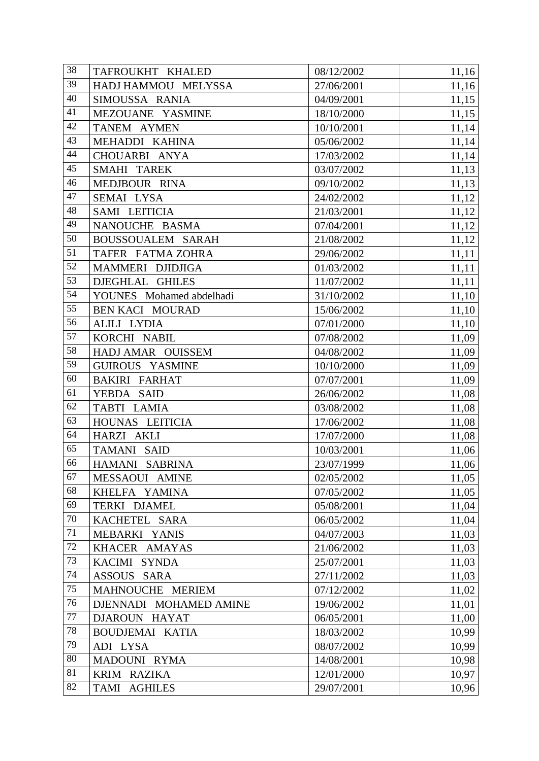| 38 | TAFROUKHT KHALED         | 08/12/2002 | 11,16 |
|----|--------------------------|------------|-------|
| 39 | HADJ HAMMOU MELYSSA      | 27/06/2001 | 11,16 |
| 40 | SIMOUSSA RANIA           | 04/09/2001 | 11,15 |
| 41 | MEZOUANE YASMINE         | 18/10/2000 | 11,15 |
| 42 | TANEM AYMEN              | 10/10/2001 | 11,14 |
| 43 | MEHADDI KAHINA           | 05/06/2002 | 11,14 |
| 44 | CHOUARBI ANYA            | 17/03/2002 | 11,14 |
| 45 | SMAHI TAREK              | 03/07/2002 | 11,13 |
| 46 | MEDJBOUR RINA            | 09/10/2002 | 11,13 |
| 47 | SEMAI LYSA               | 24/02/2002 | 11,12 |
| 48 | SAMI LEITICIA            | 21/03/2001 | 11,12 |
| 49 | NANOUCHE BASMA           | 07/04/2001 | 11,12 |
| 50 | BOUSSOUALEM SARAH        | 21/08/2002 | 11,12 |
| 51 | TAFER FATMA ZOHRA        | 29/06/2002 | 11,11 |
| 52 | MAMMERI DJIDJIGA         | 01/03/2002 | 11,11 |
| 53 | DJEGHLAL GHILES          | 11/07/2002 | 11,11 |
| 54 | YOUNES Mohamed abdelhadi | 31/10/2002 | 11,10 |
| 55 | <b>BEN KACI MOURAD</b>   | 15/06/2002 | 11,10 |
| 56 | ALILI LYDIA              | 07/01/2000 | 11,10 |
| 57 | KORCHI NABIL             | 07/08/2002 | 11,09 |
| 58 | HADJ AMAR OUISSEM        | 04/08/2002 | 11,09 |
| 59 | GUIROUS YASMINE          | 10/10/2000 | 11,09 |
| 60 | <b>BAKIRI FARHAT</b>     | 07/07/2001 | 11,09 |
| 61 | YEBDA SAID               | 26/06/2002 | 11,08 |
| 62 | TABTI LAMIA              | 03/08/2002 | 11,08 |
| 63 | HOUNAS LEITICIA          | 17/06/2002 | 11,08 |
| 64 | HARZI AKLI               | 17/07/2000 | 11,08 |
| 65 | TAMANI SAID              | 10/03/2001 | 11,06 |
| 66 | HAMANI SABRINA           | 23/07/1999 | 11,06 |
| 67 | MESSAOUI AMINE           | 02/05/2002 | 11,05 |
| 68 | KHELFA YAMINA            | 07/05/2002 | 11,05 |
| 69 | TERKI DJAMEL             | 05/08/2001 | 11,04 |
| 70 | KACHETEL SARA            | 06/05/2002 | 11,04 |
| 71 | MEBARKI YANIS            | 04/07/2003 | 11,03 |
| 72 | KHACER AMAYAS            | 21/06/2002 | 11,03 |
| 73 | KACIMI SYNDA             | 25/07/2001 | 11,03 |
| 74 | ASSOUS SARA              | 27/11/2002 | 11,03 |
| 75 | MAHNOUCHE MERIEM         | 07/12/2002 | 11,02 |
| 76 | DJENNADI MOHAMED AMINE   | 19/06/2002 | 11,01 |
| 77 | DJAROUN HAYAT            | 06/05/2001 | 11,00 |
| 78 | <b>BOUDJEMAI KATIA</b>   | 18/03/2002 | 10,99 |
| 79 | ADI LYSA                 | 08/07/2002 | 10,99 |
| 80 | MADOUNI RYMA             | 14/08/2001 | 10,98 |
| 81 | KRIM RAZIKA              | 12/01/2000 | 10,97 |
| 82 | TAMI AGHILES             | 29/07/2001 | 10,96 |